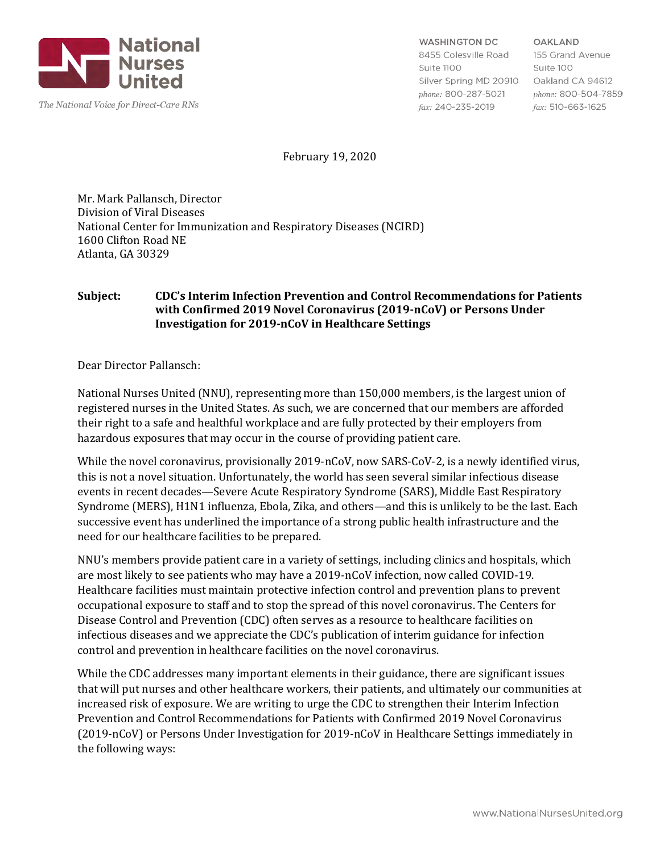

The National Voice for Direct-Care RNs

**WASHINGTON DC** 8455 Colesville Road Suite 1100 Silver Spring MD 20910 Oakland CA 94612 phone: 800-287-5021

fax: 240-235-2019

**OAKLAND** 155 Grand Avenue Suite 100 phone: 800-504-7859  $\textit{fax}: 510-663-1625$ 

February 19, 2020

Mr. Mark Pallansch, Director Division of Viral Diseases National Center for Immunization and Respiratory Diseases (NCIRD) 1600 Clifton Road NE Atlanta, GA 30329

#### **Subject: CDC's Interim Infection Prevention and Control Recommendations for Patients with Confirmed 2019 Novel Coronavirus (2019-nCoV) or Persons Under Investigation for 2019-nCoV in Healthcare Settings**

Dear Director Pallansch:

National Nurses United (NNU), representing more than 150,000 members, is the largest union of registered nurses in the United States. As such, we are concerned that our members are afforded their right to a safe and healthful workplace and are fully protected by their employers from hazardous exposures that may occur in the course of providing patient care.

While the novel coronavirus, provisionally 2019-nCoV, now SARS-CoV-2, is a newly identified virus, this is not a novel situation. Unfortunately, the world has seen several similar infectious disease events in recent decades—Severe Acute Respiratory Syndrome (SARS), Middle East Respiratory Syndrome (MERS), H1N1 influenza, Ebola, Zika, and others—and this is unlikely to be the last. Each successive event has underlined the importance of a strong public health infrastructure and the need for our healthcare facilities to be prepared.

NNU's members provide patient care in a variety of settings, including clinics and hospitals, which are most likely to see patients who may have a 2019-nCoV infection, now called COVID-19. Healthcare facilities must maintain protective infection control and prevention plans to prevent occupational exposure to staff and to stop the spread of this novel coronavirus. The Centers for Disease Control and Prevention (CDC) often serves as a resource to healthcare facilities on infectious diseases and we appreciate the CDC's publication of interim guidance for infection control and prevention in healthcare facilities on the novel coronavirus.

While the CDC addresses many important elements in their guidance, there are significant issues that will put nurses and other healthcare workers, their patients, and ultimately our communities at increased risk of exposure. We are writing to urge the CDC to strengthen their Interim Infection Prevention and Control Recommendations for Patients with Confirmed 2019 Novel Coronavirus (2019-nCoV) or Persons Under Investigation for 2019-nCoV in Healthcare Settings immediately in the following ways: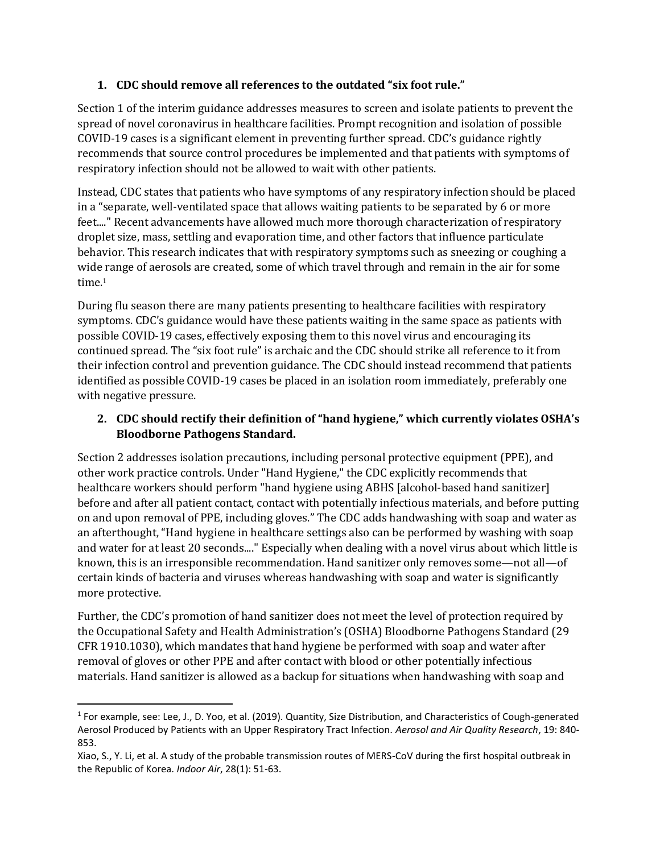# **1. CDC should remove all references to the outdated "six foot rule."**

Section 1 of the interim guidance addresses measures to screen and isolate patients to prevent the spread of novel coronavirus in healthcare facilities. Prompt recognition and isolation of possible COVID-19 cases is a significant element in preventing further spread. CDC's guidance rightly recommends that source control procedures be implemented and that patients with symptoms of respiratory infection should not be allowed to wait with other patients.

Instead, CDC states that patients who have symptoms of any respiratory infection should be placed in a "separate, well-ventilated space that allows waiting patients to be separated by 6 or more feet...." Recent advancements have allowed much more thorough characterization of respiratory droplet size, mass, settling and evaporation time, and other factors that influence particulate behavior. This research indicates that with respiratory symptoms such as sneezing or coughing a wide range of aerosols are created, some of which travel through and remain in the air for some time.<sup>1</sup>

During flu season there are many patients presenting to healthcare facilities with respiratory symptoms. CDC's guidance would have these patients waiting in the same space as patients with possible COVID-19 cases, effectively exposing them to this novel virus and encouraging its continued spread. The "six foot rule" is archaic and the CDC should strike all reference to it from their infection control and prevention guidance. The CDC should instead recommend that patients identified as possible COVID-19 cases be placed in an isolation room immediately, preferably one with negative pressure.

# **2. CDC should rectify their definition of "hand hygiene," which currently violates OSHA's Bloodborne Pathogens Standard.**

Section 2 addresses isolation precautions, including personal protective equipment (PPE), and other work practice controls. Under "Hand Hygiene," the CDC explicitly recommends that healthcare workers should perform "hand hygiene using ABHS [alcohol-based hand sanitizer] before and after all patient contact, contact with potentially infectious materials, and before putting on and upon removal of PPE, including gloves." The CDC adds handwashing with soap and water as an afterthought, "Hand hygiene in healthcare settings also can be performed by washing with soap and water for at least 20 seconds...." Especially when dealing with a novel virus about which little is known, this is an irresponsible recommendation. Hand sanitizer only removes some—not all—of certain kinds of bacteria and viruses whereas handwashing with soap and water is significantly more protective.

Further, the CDC's promotion of hand sanitizer does not meet the level of protection required by the Occupational Safety and Health Administration's (OSHA) Bloodborne Pathogens Standard (29 CFR 1910.1030), which mandates that hand hygiene be performed with soap and water after removal of gloves or other PPE and after contact with blood or other potentially infectious materials. Hand sanitizer is allowed as a backup for situations when handwashing with soap and

<sup>&</sup>lt;sup>1</sup> For example, see: Lee, J., D. Yoo, et al. (2019). Quantity, Size Distribution, and Characteristics of Cough-generated Aerosol Produced by Patients with an Upper Respiratory Tract Infection. *Aerosol and Air Quality Research*, 19: 840- 853.

Xiao, S., Y. Li, et al. A study of the probable transmission routes of MERS-CoV during the first hospital outbreak in the Republic of Korea. *Indoor Air*, 28(1): 51-63.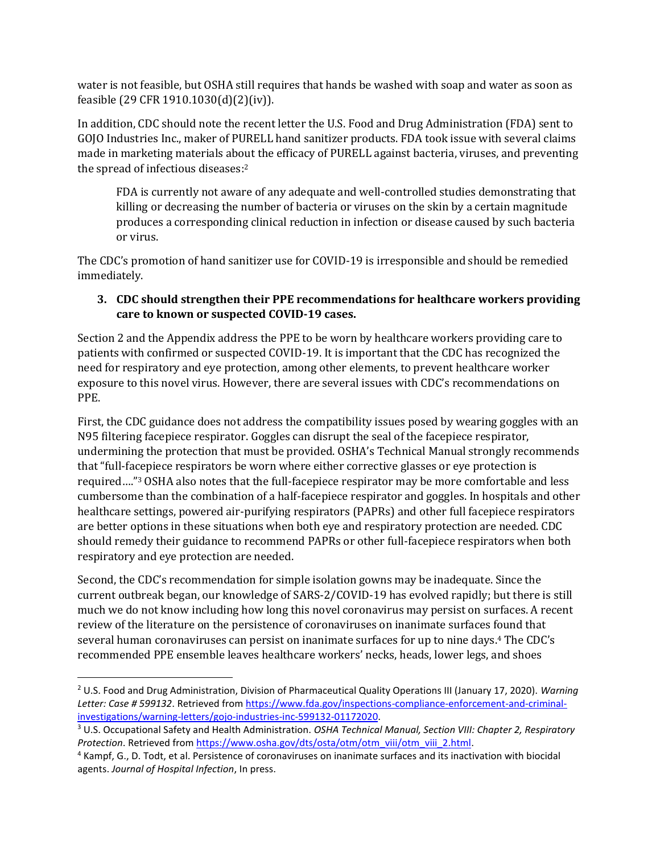water is not feasible, but OSHA still requires that hands be washed with soap and water as soon as feasible (29 CFR 1910.1030(d)(2)(iv)).

In addition, CDC should note the recent letter the U.S. Food and Drug Administration (FDA) sent to GOJO Industries Inc., maker of PURELL hand sanitizer products. FDA took issue with several claims made in marketing materials about the efficacy of PURELL against bacteria, viruses, and preventing the spread of infectious diseases:<sup>2</sup>

FDA is currently not aware of any adequate and well-controlled studies demonstrating that killing or decreasing the number of bacteria or viruses on the skin by a certain magnitude produces a corresponding clinical reduction in infection or disease caused by such bacteria or virus.

The CDC's promotion of hand sanitizer use for COVID-19 is irresponsible and should be remedied immediately.

# **3. CDC should strengthen their PPE recommendations for healthcare workers providing care to known or suspected COVID-19 cases.**

Section 2 and the Appendix address the PPE to be worn by healthcare workers providing care to patients with confirmed or suspected COVID-19. It is important that the CDC has recognized the need for respiratory and eye protection, among other elements, to prevent healthcare worker exposure to this novel virus. However, there are several issues with CDC's recommendations on PPE.

First, the CDC guidance does not address the compatibility issues posed by wearing goggles with an N95 filtering facepiece respirator. Goggles can disrupt the seal of the facepiece respirator, undermining the protection that must be provided. OSHA's Technical Manual strongly recommends that "full-facepiece respirators be worn where either corrective glasses or eye protection is required…."<sup>3</sup> OSHA also notes that the full-facepiece respirator may be more comfortable and less cumbersome than the combination of a half-facepiece respirator and goggles. In hospitals and other healthcare settings, powered air-purifying respirators (PAPRs) and other full facepiece respirators are better options in these situations when both eye and respiratory protection are needed. CDC should remedy their guidance to recommend PAPRs or other full-facepiece respirators when both respiratory and eye protection are needed.

Second, the CDC's recommendation for simple isolation gowns may be inadequate. Since the current outbreak began, our knowledge of SARS-2/COVID-19 has evolved rapidly; but there is still much we do not know including how long this novel coronavirus may persist on surfaces. A recent review of the literature on the persistence of coronaviruses on inanimate surfaces found that several human coronaviruses can persist on inanimate surfaces for up to nine days.<sup>4</sup> The CDC's recommended PPE ensemble leaves healthcare workers' necks, heads, lower legs, and shoes

<sup>2</sup> U.S. Food and Drug Administration, Division of Pharmaceutical Quality Operations III (January 17, 2020). *Warning Letter: Case # 599132*. Retrieved from [https://www.fda.gov/inspections-compliance-enforcement-and-criminal](https://www.fda.gov/inspections-compliance-enforcement-and-criminal-investigations/warning-letters/gojo-industries-inc-599132-01172020)[investigations/warning-letters/gojo-industries-inc-599132-01172020.](https://www.fda.gov/inspections-compliance-enforcement-and-criminal-investigations/warning-letters/gojo-industries-inc-599132-01172020)

<sup>3</sup> U.S. Occupational Safety and Health Administration. *OSHA Technical Manual, Section VIII: Chapter 2, Respiratory Protection*. Retrieved from [https://www.osha.gov/dts/osta/otm/otm\\_viii/otm\\_viii\\_2.html.](https://www.osha.gov/dts/osta/otm/otm_viii/otm_viii_2.html)

<sup>4</sup> Kampf, G., D. Todt, et al. Persistence of coronaviruses on inanimate surfaces and its inactivation with biocidal agents. *Journal of Hospital Infection*, In press.